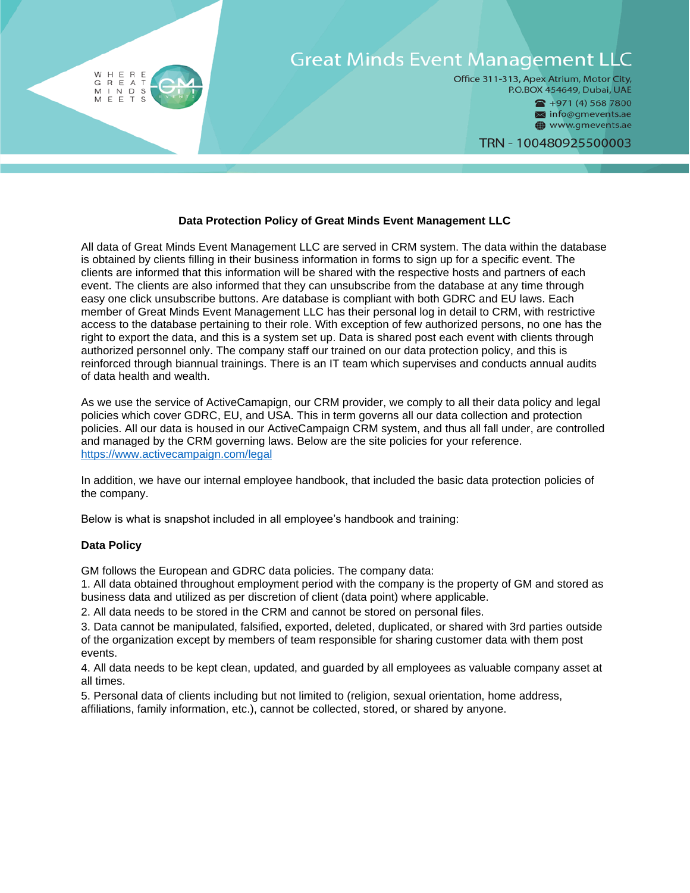

## **Data Protection Policy of Great Minds Event Management LLC**

All data of Great Minds Event Management LLC are served in CRM system. The data within the database is obtained by clients filling in their business information in forms to sign up for a specific event. The clients are informed that this information will be shared with the respective hosts and partners of each event. The clients are also informed that they can unsubscribe from the database at any time through easy one click unsubscribe buttons. Are database is compliant with both GDRC and EU laws. Each member of Great Minds Event Management LLC has their personal log in detail to CRM, with restrictive access to the database pertaining to their role. With exception of few authorized persons, no one has the right to export the data, and this is a system set up. Data is shared post each event with clients through authorized personnel only. The company staff our trained on our data protection policy, and this is reinforced through biannual trainings. There is an IT team which supervises and conducts annual audits of data health and wealth.

As we use the service of ActiveCamapign, our CRM provider, we comply to all their data policy and legal policies which cover GDRC, EU, and USA. This in term governs all our data collection and protection policies. All our data is housed in our ActiveCampaign CRM system, and thus all fall under, are controlled and managed by the CRM governing laws. Below are the site policies for your reference. <https://www.activecampaign.com/legal>

In addition, we have our internal employee handbook, that included the basic data protection policies of the company.

Below is what is snapshot included in all employee's handbook and training:

### **Data Policy**

GM follows the European and GDRC data policies. The company data:

1. All data obtained throughout employment period with the company is the property of GM and stored as business data and utilized as per discretion of client (data point) where applicable.

2. All data needs to be stored in the CRM and cannot be stored on personal files.

3. Data cannot be manipulated, falsified, exported, deleted, duplicated, or shared with 3rd parties outside of the organization except by members of team responsible for sharing customer data with them post events.

4. All data needs to be kept clean, updated, and guarded by all employees as valuable company asset at all times.

5. Personal data of clients including but not limited to (religion, sexual orientation, home address, affiliations, family information, etc.), cannot be collected, stored, or shared by anyone.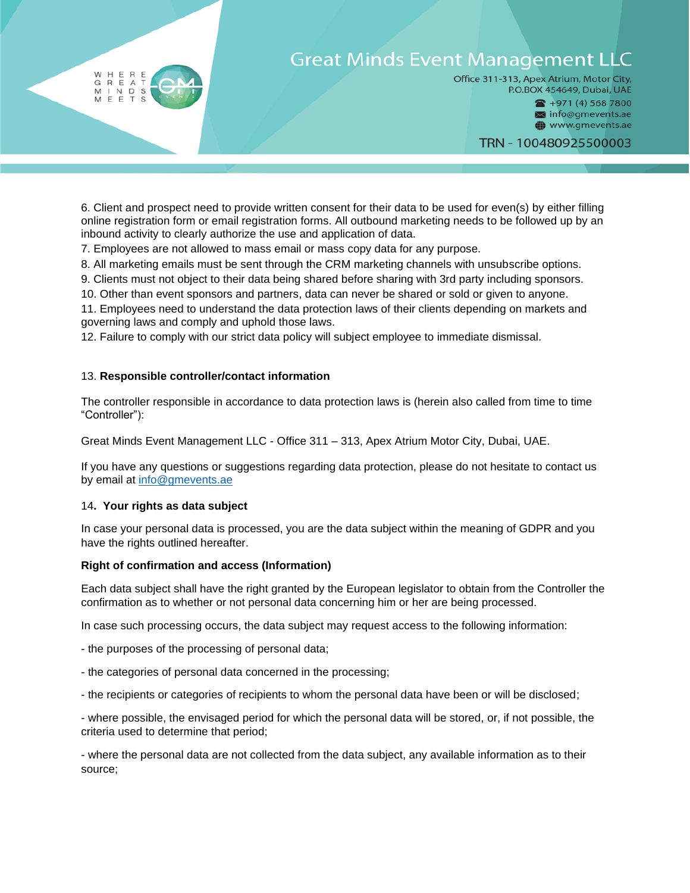# **Great Minds Event Management LLC**

Office 311-313, Apex Atrium, Motor City, P.O.BOX 454649, Dubai, UAE

> $\bullet$  +971 (4) 568 7800 Minfo@gmevents.ae

> www.gmevents.ae

TRN - 100480925500003

6. Client and prospect need to provide written consent for their data to be used for even(s) by either filling online registration form or email registration forms. All outbound marketing needs to be followed up by an inbound activity to clearly authorize the use and application of data.

7. Employees are not allowed to mass email or mass copy data for any purpose.

8. All marketing emails must be sent through the CRM marketing channels with unsubscribe options.

9. Clients must not object to their data being shared before sharing with 3rd party including sponsors.

10. Other than event sponsors and partners, data can never be shared or sold or given to anyone.

11. Employees need to understand the data protection laws of their clients depending on markets and governing laws and comply and uphold those laws.

12. Failure to comply with our strict data policy will subject employee to immediate dismissal.

## 13. **Responsible controller/contact information**

The controller responsible in accordance to data protection laws is (herein also called from time to time "Controller"):

Great Minds Event Management LLC - Office 311 – 313, Apex Atrium Motor City, Dubai, UAE.

If you have any questions or suggestions regarding data protection, please do not hesitate to contact us by email at [info@gmevents.ae](mailto:info@gmevents.ae)

### 14**. Your rights as data subject**

H E  $\mathsf R$ E<br>T

REAT<br>
INDS<br>
EETS GRE<br>MIN

In case your personal data is processed, you are the data subject within the meaning of GDPR and you have the rights outlined hereafter.

### **Right of confirmation and access (Information)**

Each data subject shall have the right granted by the European legislator to obtain from the Controller the confirmation as to whether or not personal data concerning him or her are being processed.

In case such processing occurs, the data subject may request access to the following information:

- the purposes of the processing of personal data;

- the categories of personal data concerned in the processing;
- the recipients or categories of recipients to whom the personal data have been or will be disclosed;

- where possible, the envisaged period for which the personal data will be stored, or, if not possible, the criteria used to determine that period;

- where the personal data are not collected from the data subject, any available information as to their source;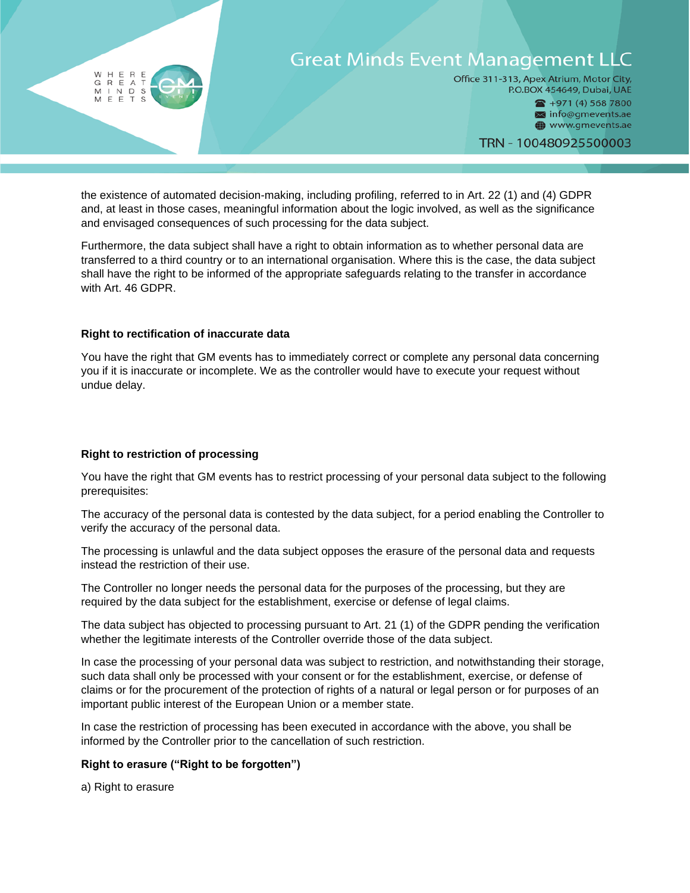

the existence of automated decision-making, including profiling, referred to in Art. 22 (1) and (4) GDPR and, at least in those cases, meaningful information about the logic involved, as well as the significance and envisaged consequences of such processing for the data subject.

Furthermore, the data subject shall have a right to obtain information as to whether personal data are transferred to a third country or to an international organisation. Where this is the case, the data subject shall have the right to be informed of the appropriate safeguards relating to the transfer in accordance with Art. 46 GDPR.

## **Right to rectification of inaccurate data**

You have the right that GM events has to immediately correct or complete any personal data concerning you if it is inaccurate or incomplete. We as the controller would have to execute your request without undue delay.

# **Right to restriction of processing**

You have the right that GM events has to restrict processing of your personal data subject to the following prerequisites:

The accuracy of the personal data is contested by the data subject, for a period enabling the Controller to verify the accuracy of the personal data.

The processing is unlawful and the data subject opposes the erasure of the personal data and requests instead the restriction of their use.

The Controller no longer needs the personal data for the purposes of the processing, but they are required by the data subject for the establishment, exercise or defense of legal claims.

The data subject has objected to processing pursuant to Art. 21 (1) of the GDPR pending the verification whether the legitimate interests of the Controller override those of the data subject.

In case the processing of your personal data was subject to restriction, and notwithstanding their storage, such data shall only be processed with your consent or for the establishment, exercise, or defense of claims or for the procurement of the protection of rights of a natural or legal person or for purposes of an important public interest of the European Union or a member state.

In case the restriction of processing has been executed in accordance with the above, you shall be informed by the Controller prior to the cancellation of such restriction.

# **Right to erasure ("Right to be forgotten")**

a) Right to erasure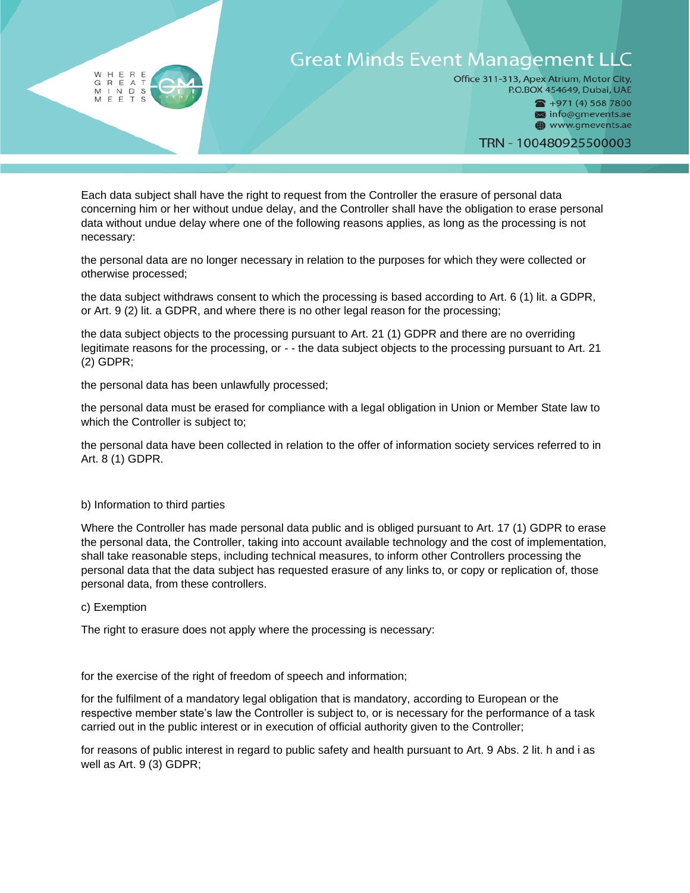# **Great Minds Event Management LLC**

Office 311-313, Apex Atrium, Motor City, P.O.BOX 454649, Dubai, UAE

 $\bullet$  +971 (4) 568 7800 Minfo@gmevents.ae www.gmevents.ae

TRN - 100480925500003

Each data subject shall have the right to request from the Controller the erasure of personal data concerning him or her without undue delay, and the Controller shall have the obligation to erase personal data without undue delay where one of the following reasons applies, as long as the processing is not necessary:

the personal data are no longer necessary in relation to the purposes for which they were collected or otherwise processed;

the data subject withdraws consent to which the processing is based according to Art. 6 (1) lit. a GDPR, or Art. 9 (2) lit. a GDPR, and where there is no other legal reason for the processing;

the data subject objects to the processing pursuant to Art. 21 (1) GDPR and there are no overriding legitimate reasons for the processing, or - - the data subject objects to the processing pursuant to Art. 21 (2) GDPR;

the personal data has been unlawfully processed;

the personal data must be erased for compliance with a legal obligation in Union or Member State law to which the Controller is subject to;

the personal data have been collected in relation to the offer of information society services referred to in Art. 8 (1) GDPR.

### b) Information to third parties

H E R E<br>R E A T<br>I N D S<br>E E T S  $\mathsf R$ 

 $\begin{array}{c} G \quad R \quad E \\ M \quad I \quad N \end{array}$ 

Where the Controller has made personal data public and is obliged pursuant to Art. 17 (1) GDPR to erase the personal data, the Controller, taking into account available technology and the cost of implementation, shall take reasonable steps, including technical measures, to inform other Controllers processing the personal data that the data subject has requested erasure of any links to, or copy or replication of, those personal data, from these controllers.

c) Exemption

The right to erasure does not apply where the processing is necessary:

for the exercise of the right of freedom of speech and information;

for the fulfilment of a mandatory legal obligation that is mandatory, according to European or the respective member state's law the Controller is subject to, or is necessary for the performance of a task carried out in the public interest or in execution of official authority given to the Controller;

for reasons of public interest in regard to public safety and health pursuant to Art. 9 Abs. 2 lit. h and i as well as Art. 9 (3) GDPR;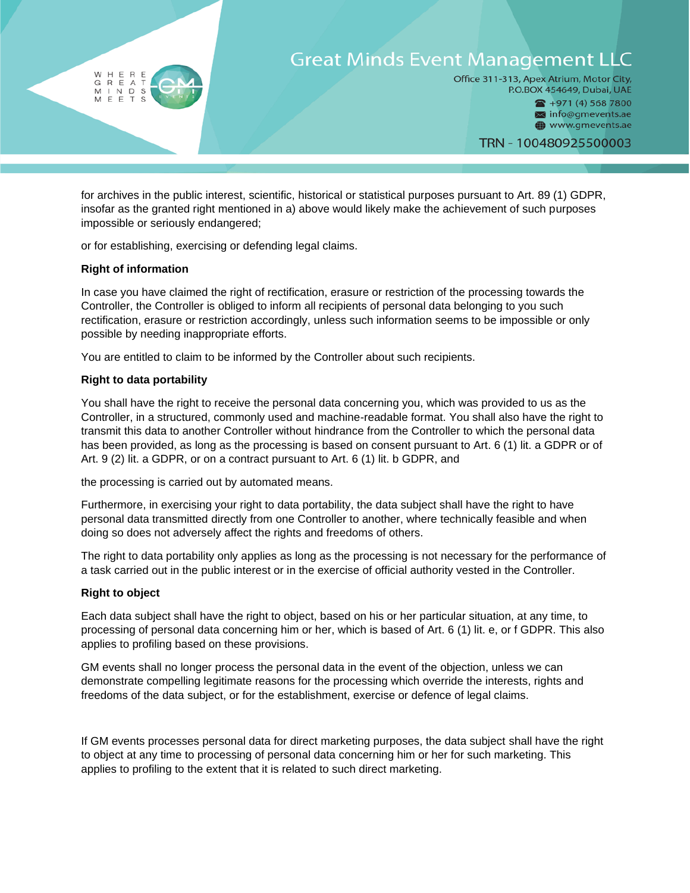

for archives in the public interest, scientific, historical or statistical purposes pursuant to Art. 89 (1) GDPR, insofar as the granted right mentioned in a) above would likely make the achievement of such purposes impossible or seriously endangered;

or for establishing, exercising or defending legal claims.

# **Right of information**

In case you have claimed the right of rectification, erasure or restriction of the processing towards the Controller, the Controller is obliged to inform all recipients of personal data belonging to you such rectification, erasure or restriction accordingly, unless such information seems to be impossible or only possible by needing inappropriate efforts.

You are entitled to claim to be informed by the Controller about such recipients.

# **Right to data portability**

You shall have the right to receive the personal data concerning you, which was provided to us as the Controller, in a structured, commonly used and machine-readable format. You shall also have the right to transmit this data to another Controller without hindrance from the Controller to which the personal data has been provided, as long as the processing is based on consent pursuant to Art. 6 (1) lit. a GDPR or of Art. 9 (2) lit. a GDPR, or on a contract pursuant to Art. 6 (1) lit. b GDPR, and

the processing is carried out by automated means.

Furthermore, in exercising your right to data portability, the data subject shall have the right to have personal data transmitted directly from one Controller to another, where technically feasible and when doing so does not adversely affect the rights and freedoms of others.

The right to data portability only applies as long as the processing is not necessary for the performance of a task carried out in the public interest or in the exercise of official authority vested in the Controller.

# **Right to object**

Each data subject shall have the right to object, based on his or her particular situation, at any time, to processing of personal data concerning him or her, which is based of Art. 6 (1) lit. e, or f GDPR. This also applies to profiling based on these provisions.

GM events shall no longer process the personal data in the event of the objection, unless we can demonstrate compelling legitimate reasons for the processing which override the interests, rights and freedoms of the data subject, or for the establishment, exercise or defence of legal claims.

If GM events processes personal data for direct marketing purposes, the data subject shall have the right to object at any time to processing of personal data concerning him or her for such marketing. This applies to profiling to the extent that it is related to such direct marketing.